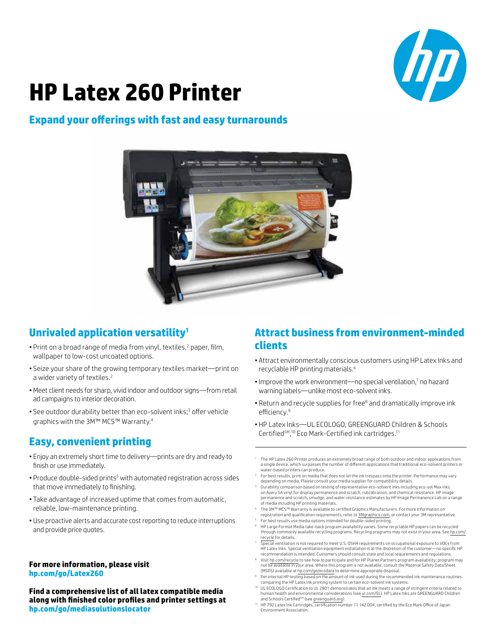

# **HP Latex 260 Printer**

### **Expand your offerings with fast and easy turnarounds**



## **Unrivaled application versatility1**

- Print on a broad range of media from vinyl, textiles,<sup>2</sup> paper, film, wallpaper to low-cost uncoated options.
- Seize your share of the growing temporary textiles market—print on a wider variety of textiles.<sup>2</sup>
- • Meet client needs for sharp, vivid indoor and outdoor signs—from retail ad campaigns to interior decoration.
- See outdoor durability better than eco-solvent inks;<sup>3</sup> offer vehicle graphics with the 3M™ MCS™ Warranty.<sup>4</sup>

## **Easy, convenient printing**

- Enjoy an extremely short time to delivery—prints are dry and ready to finish or use immediately.
- Produce double-sided prints<sup>5</sup> with automated registration across sides that move immediately to finishing.
- Take advantage of increased uptime that comes from automatic, reliable, low-maintenance printing.
- Use proactive alerts and accurate cost reporting to reduce interruptions and provide price quotes.

#### **For more information, please visit [hp.com/go/Latex260](http://www.hp.com/go/Latex260)**

**Find a comprehensive list of all latex compatible media along with finished color profiles and printer settings at [hp.com/go/mediasolutionslocator](http://www.hp.com/go/mediasolutionslocator)**

## **Attract business from environment-minded clients**

- Attract environmentally conscious customers using HP Latex Inks and recyclable HP printing materials.<sup>6</sup>
- Improve the work environment—no special ventilation,7 no hazard warning labels—unlike most eco-solvent inks.
- Return and recycle supplies for free<sup>8</sup> and dramatically improve ink efficiency.<sup>9</sup>
- HP Latex Inks-UL ECOLOGO, GREENGUARD Children & Schools Certified<sup>SM</sup>,<sup>10</sup> Eco Mark-Certified ink cartridges.<sup>11</sup>
- The HP Latex 260 Printer produces an extremely broad range of both outdoor and indoor applications from a single device, which surpasses the number of different applications that traditional eco-solvent printers or water-based printers can produce.
- For best results, print on media that does not let the ink trespass onto the printer. Performance may vary depending on media. Please consult your media supplier for compatibility details.
- 3 Durability comparison based on testing of representative eco-solvent inks including eco-sol Max inks on Avery SA vinyl for display permanence and scratch, rub/abrasion, and chemical resistance. HP image permanence and scratch, smudge, and water resistance estimates by HP Image Permanence Lab on a range of media including HP printing materials.
- The 3M™ MCS™ Warranty is available to certified Graphics Manufacturers. For more information on registration and qualification requirements, refer to [3Mgraphics.com,](http://www.3Mgraphics.com) or contact your 3M representative. 5 For best results use media options intended for double-sided printing.
- 6 HP Large Format Media take-back program availability varies. Some recyclable HP papers can be recycled through commonly available recycling programs. Recycling programs may not exist in your area. See [hp.com/](http://www.hp.com/recycle) [recycle](http://www.hp.com/recycle) for details.
- Special ventilation is not required to meet U.S. OSHA requirements on occupational exposure to VOCs from HP Latex Inks. Special ventilation equipment installation is at the discretion of the customer—no specific HP recommendation is intended. Customers should consult state and local requirements and regulations.
- 8 Visit [hp.com/recycle](http://www.hp.com/recycle) to see how to participate and for HP Planet Partners program availability; program may not be available in your area. Where this program is not available, consult the Material Safety Data Sheet (MSDS) available at [hp.com/go/ecodata](http://www.hp.com/go/ecodata) to determine appropriate disposal.
- 9 Per internal HP testing based on the amount of ink used during the recommended ink maintenance routines comparing the HP Latex Ink printing system to certain eco-solvent ink systems.
- <sup>10</sup> UL ECOLOGO Certification to UL 2801 demonstrates that an ink meets a range of stringent criteria related to<br>human health and environmental considerations (see <u>ul.com/EL</u>). HP Latex Inks are GREENGUARD Children<br>and Sc
- Environment Association.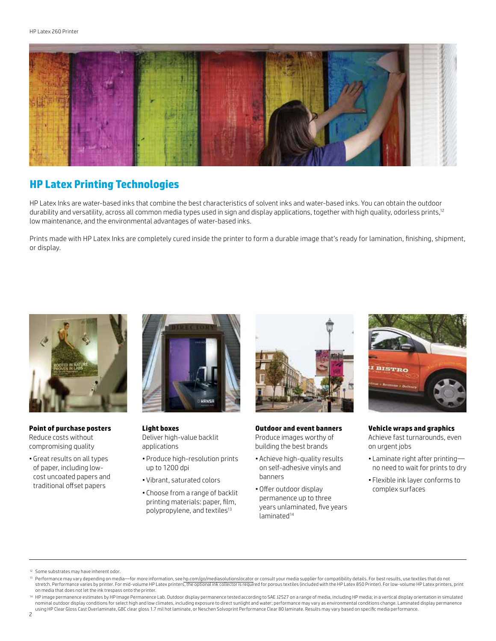

## **HP Latex Printing Technologies**

HP Latex Inks are water-based inks that combine the best characteristics of solvent inks and water-based inks. You can obtain the outdoor durability and versatility, across all common media types used in sign and display applications, together with high quality, odorless prints,<sup>12</sup> low maintenance, and the environmental advantages of water-based inks.

Prints made with HP Latex Inks are completely cured inside the printer to form a durable image that's ready for lamination, finishing, shipment, or display.



**Point of purchase posters** Reduce costs without compromising quality

• Great results on all types of paper, including lowcost uncoated papers and traditional offset papers



**Light boxes** Deliver high-value backlit applications

- • Produce high-resolution prints up to 1200 dpi
- • Vibrant, saturated colors
- • Choose from a range of backlit printing materials: paper, film, polypropylene, and textiles<sup>13</sup>



#### **Outdoor and event banners** Produce images worthy of building the best brands

- • Achieve high-quality results on self-adhesive vinyls and banners
- • Offer outdoor display permanence up to three years unlaminated, five years laminated<sup>14</sup>



**Vehicle wraps and graphics** Achieve fast turnarounds, even

- on urgent jobs
- • Laminate right after printing no need to wait for prints to dry
- • Flexible ink layer conforms to complex surfaces

- <sup>12</sup> Some substrates may have inherent odor.
- <sup>13</sup> Performance may vary depending on media—for more information, see [hp.com/go/mediasolutionslocator](http://www.hp.com/go/mediasolutionslocator) or consult your media supplier for compatibility details. For best results, use textiles that do not stretch. Performance varies by printer. For mid-volume HP Latex printers, the optional ink collector is required for porous textiles (included with the HP Latex 850 Printer). For low-volume HP Latex printers, print on media that does not let the ink trespass onto the printer.
- <sup>14</sup> HP image permanence estimates by HP Image Permanence Lab. Outdoor display permanence tested according to SAE J2527 on a range of media, including HP media; in a vertical display orientation in simulated nominal outdoor display conditions for select high and low climates, including exposure to direct sunlight and water; performance may vary as environmental conditions change. Laminated display permanence<br>using HP Clear Glo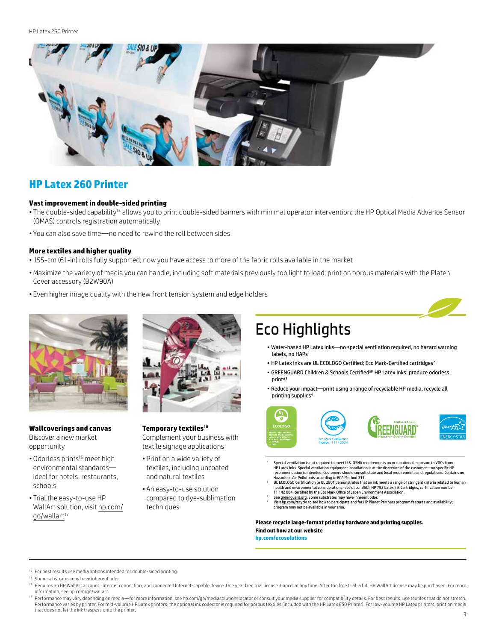HP Latex 260 Printer



### **HP Latex 260 Printer**

#### **Vast improvement in double-sided printing**

- The double-sided capability<sup>15</sup> allows you to print double-sided banners with minimal operator intervention; the HP Optical Media Advance Sensor (OMAS) controls registration automatically
- • You can also save time—no need to rewind the roll between sides

#### **More textiles and higher quality**

- • 155-cm (61-in) rolls fully supported; now you have access to more of the fabric rolls available in the market
- • Maximize the variety of media you can handle, including soft materials previously too light to load; print on porous materials with the Platen Cover accessory (B2W90A)
- Even higher image quality with the new front tension system and edge holders



#### **Wallcoverings and canvas** Discover a new market

opportunity

- Odorless prints<sup>16</sup> meet high environmental standards ideal for hotels, restaurants, schools
- Trial the easy-to-use HP WallArt solution, visit [hp.com/](http://www.hp.com/go/wallart) [go/wallart](http://www.hp.com/go/wallart)<sup>17</sup>



**Temporary textiles18** Complement your business with

- textile signage applications • Print on a wide variety of
- textiles, including uncoated and natural textiles
- • An easy-to-use solution compared to dye-sublimation techniques

## Eco Highlights

- Water-based HP Latex Inks—no special ventilation required, no hazard warning labels, no HAPs<sup>1</sup>
- HP Latex Inks are UL ECOLOGO Certified; Eco Mark-Certified cartridges<sup>2</sup>
- GREENGUARD Children & Schools Certified<sup>SM</sup> HP Latex Inks; produce odorless prints<sup>3</sup>
- Reduce your impact—print using a range of recyclable HP media, recycle all printing supplies<sup>4</sup>



- Special ventilation is not required to meet U.S. OSHA requirements on occupational exposure to VOCs from HP Latex Inks. Special ventilation equipment installation is at the discretion of the customer—no specific HP recommendation is intended. Customers should consult state and local requirements and regulations. Contains no
- Hazardous Air Pollutants according to EPA Method 311. 2 UL ECOLOGO Certification to UL 2801 demonstrates that an ink meets a range of stringent criteria related to human health and environmental considerations (se[e ul.com/EL\)](http://www.ul.com/el). HP 792 Latex Ink Cartridges, certification number<br>11 142 004, certified by the Eco Mark Office of Japan Environment Association.
- 11142 004, certified by the Eco Mark Office of Japan Environment Association.<br><sup>3</sup> See <u>greenguard.org.</u> Some substrates may have inherent odor.<br><sup>4</sup> Visit I<u>n.com/recycle</u> to see how to participate and for HP Planet Partner

**Please recycle large-format printing hardware and printing supplies. Find out how at our website [hp.com/ecosolutions](http://www.hp.com/ecosolutions)**

<sup>15</sup> For best results use media options intended for double-sided printing.

<sup>&</sup>lt;sup>16</sup> Some substrates may have inherent odor.

Requires an HP WallArt account, Internet connection, and connected Internet-capable device. One year free trial license. Cancel at any time. After the free trial, a full HP WallArt license may be purchased. For more information, see [hp.com/go/wallart](http://www.hp.com/go/wallart).

<sup>&</sup>lt;sup>18</sup> Performance may vary depending on media—for more information, see [hp.com/go/mediasolutionslocator](http://www.hp.com/go/mediasolutionslocator) or consult your media supplier for compatibility details. For best results, use textiles that do not stretch. Performance varies by printer. For mid-volume HP Latex printers, the optional ink collector is required for porous textiles (included with the HP Latex 850 Printer). For low-volume HP Latex printers, print on media that does not let the ink trespass onto the printer.